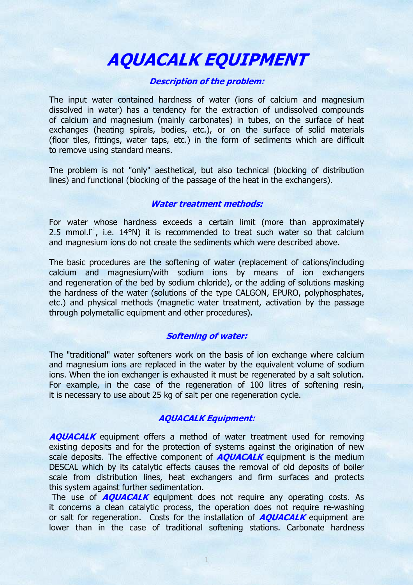# AQUACALK EQUIPMENT

# Description of the problem:

The input water contained hardness of water (ions of calcium and magnesium dissolved in water) has a tendency for the extraction of undissolved compounds of calcium and magnesium (mainly carbonates) in tubes, on the surface of heat exchanges (heating spirals, bodies, etc.), or on the surface of solid materials (floor tiles, fittings, water taps, etc.) in the form of sediments which are difficult to remove using standard means.

The problem is not "only" aesthetical, but also technical (blocking of distribution lines) and functional (blocking of the passage of the heat in the exchangers).

#### Water treatment methods:

For water whose hardness exceeds a certain limit (more than approximately 2.5 mmol. $I^{-1}$ , i.e. 14°N) it is recommended to treat such water so that calcium and magnesium ions do not create the sediments which were described above.

The basic procedures are the softening of water (replacement of cations/including calcium and magnesium/with sodium ions by means of ion exchangers and regeneration of the bed by sodium chloride), or the adding of solutions masking the hardness of the water (solutions of the type CALGON, EPURO, polyphosphates, etc.) and physical methods (magnetic water treatment, activation by the passage through polymetallic equipment and other procedures).

#### Softening of water:

The "traditional" water softeners work on the basis of ion exchange where calcium and magnesium ions are replaced in the water by the equivalent volume of sodium ions. When the ion exchanger is exhausted it must be regenerated by a salt solution. For example, in the case of the regeneration of 100 litres of softening resin, it is necessary to use about 25 kg of salt per one regeneration cycle.

#### AQUACALK Equipment:

**AOUACALK** equipment offers a method of water treatment used for removing existing deposits and for the protection of systems against the origination of new scale deposits. The effective component of  $AQUACALK$  equipment is the medium DESCAL which by its catalytic effects causes the removal of old deposits of boiler scale from distribution lines, heat exchangers and firm surfaces and protects this system against further sedimentation.

The use of **AQUACALK** equipment does not require any operating costs. As it concerns a clean catalytic process, the operation does not require re-washing or salt for regeneration. Costs for the installation of **AQUACALK** equipment are lower than in the case of traditional softening stations. Carbonate hardness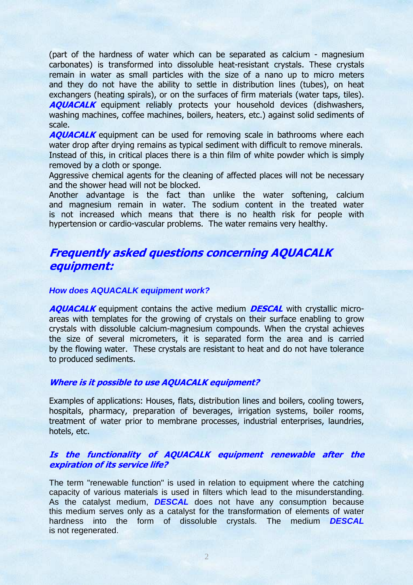(part of the hardness of water which can be separated as calcium - magnesium carbonates) is transformed into dissoluble heat-resistant crystals. These crystals remain in water as small particles with the size of a nano up to micro meters and they do not have the ability to settle in distribution lines (tubes), on heat exchangers (heating spirals), or on the surfaces of firm materials (water taps, tiles). **AQUACALK** equipment reliably protects your household devices (dishwashers, washing machines, coffee machines, boilers, heaters, etc.) against solid sediments of scale.

**AQUACALK** equipment can be used for removing scale in bathrooms where each water drop after drying remains as typical sediment with difficult to remove minerals. Instead of this, in critical places there is a thin film of white powder which is simply removed by a cloth or sponge.

Aggressive chemical agents for the cleaning of affected places will not be necessary and the shower head will not be blocked.

Another advantage is the fact than unlike the water softening, calcium and magnesium remain in water. The sodium content in the treated water is not increased which means that there is no health risk for people with hypertension or cardio-vascular problems. The water remains very healthy.

# Frequently asked questions concerning AQUACALK equipment:

#### **How does AQUACALK equipment work?**

**AQUACALK** equipment contains the active medium **DESCAL** with crystallic microareas with templates for the growing of crystals on their surface enabling to grow crystals with dissoluble calcium-magnesium compounds. When the crystal achieves the size of several micrometers, it is separated form the area and is carried by the flowing water. These crystals are resistant to heat and do not have tolerance to produced sediments.

#### Where is it possible to use AQUACALK equipment?

Examples of applications: Houses, flats, distribution lines and boilers, cooling towers, hospitals, pharmacy, preparation of beverages, irrigation systems, boiler rooms, treatment of water prior to membrane processes, industrial enterprises, laundries, hotels, etc.

#### Is the functionality of AQUACALK equipment renewable after the expiration of its service life?

The term "renewable function" is used in relation to equipment where the catching capacity of various materials is used in filters which lead to the misunderstanding. As the catalyst medium, **DESCAL** does not have any consumption because this medium serves only as a catalyst for the transformation of elements of water hardness into the form of dissoluble crystals. The medium **DESCAL** is not regenerated.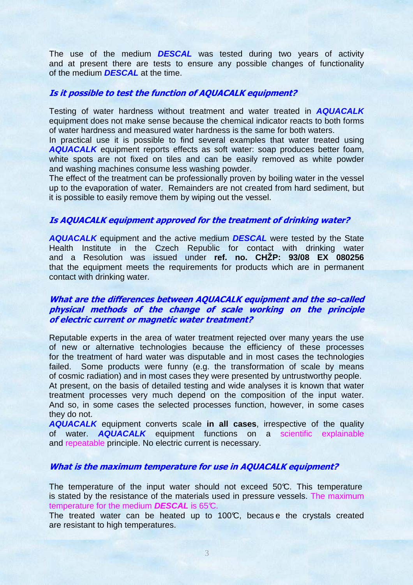The use of the medium **DESCAL** was tested during two years of activity and at present there are tests to ensure any possible changes of functionality of the medium **DESCAL** at the time.

#### Is it possible to test the function of AQUACALK equipment?

Testing of water hardness without treatment and water treated in **AQUACALK** equipment does not make sense because the chemical indicator reacts to both forms of water hardness and measured water hardness is the same for both waters.

In practical use it is possible to find several examples that water treated using **AQUACALK** equipment reports effects as soft water: soap produces better foam, white spots are not fixed on tiles and can be easily removed as white powder and washing machines consume less washing powder.

The effect of the treatment can be professionally proven by boiling water in the vessel up to the evaporation of water. Remainders are not created from hard sediment, but it is possible to easily remove them by wiping out the vessel.

#### Is AQUACALK equipment approved for the treatment of drinking water?

**AQUACALK** equipment and the active medium **DESCAL** were tested by the State Health Institute in the Czech Republic for contact with drinking water and a Resolution was issued under **ref. no. CHŽP: 93/08 EX 080256** that the equipment meets the requirements for products which are in permanent contact with drinking water.

#### What are the differences between AQUACALK equipment and the so-called physical methods of the change of scale working on the principle of electric current or magnetic water treatment?

Reputable experts in the area of water treatment rejected over many years the use of new or alternative technologies because the efficiency of these processes for the treatment of hard water was disputable and in most cases the technologies failed. Some products were funny (e.g. the transformation of scale by means of cosmic radiation) and in most cases they were presented by untrustworthy people. At present, on the basis of detailed testing and wide analyses it is known that water treatment processes very much depend on the composition of the input water. And so, in some cases the selected processes function, however, in some cases they do not.

**AQUACALK** equipment converts scale **in all cases**, irrespective of the quality of water. **AQUACALK** equipment functions on a scientific explainable and repeatable principle. No electric current is necessary.

#### What is the maximum temperature for use in AQUACALK equipment?

The temperature of the input water should not exceed 50°C. This temperature is stated by the resistance of the materials used in pressure vessels. The maximum temperature for the medium **DESCAL** is 65°C.

The treated water can be heated up to  $100\text{°C}$ , becaus e the crystals created are resistant to high temperatures.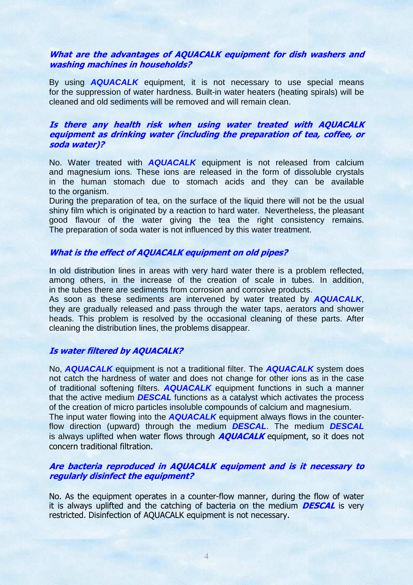# What are the advantages of AQUACALK equipment for dish washers and washing machines in households?

By using **AQUACALK** equipment, it is not necessary to use special means for the suppression of water hardness. Built-in water heaters (heating spirals) will be cleaned and old sediments will be removed and will remain clean.

# Is there any health risk when using water treated with AQUACALK equipment as drinking water (including the preparation of tea, coffee, or soda water)?

No. Water treated with **AQUACALK** equipment is not released from calcium and magnesium ions. These ions are released in the form of dissoluble crystals in the human stomach due to stomach acids and they can be available to the organism.

During the preparation of tea, on the surface of the liquid there will not be the usual shiny film which is originated by a reaction to hard water. Nevertheless, the pleasant good flavour of the water giving the tea the right consistency remains. The preparation of soda water is not influenced by this water treatment.

# What is the effect of AQUACALK equipment on old pipes?

In old distribution lines in areas with very hard water there is a problem reflected, among others, in the increase of the creation of scale in tubes. In addition, in the tubes there are sediments from corrosion and corrosive products.

As soon as these sediments are intervened by water treated by **AQUACALK**, they are gradually released and pass through the water taps, aerators and shower heads. This problem is resolved by the occasional cleaning of these parts. After cleaning the distribution lines, the problems disappear.

# Is water filtered by AQUACALK?

No, **AQUACALK** equipment is not a traditional filter. The **AQUACALK** system does not catch the hardness of water and does not change for other ions as in the case of traditional softening filters. **AQUACALK** equipment functions in such a manner that the active medium **DESCAL** functions as a catalyst which activates the process of the creation of micro particles insoluble compounds of calcium and magnesium. The input water flowing into the **AQUACALK** equipment always flows in the counterflow direction (upward) through the medium **DESCAL**. The medium **DESCAL** is always uplifted when water flows through  $AQUACALK$  equipment, so it does not concern traditional filtration.

# Are bacteria reproduced in AQUACALK equipment and is it necessary to regularly disinfect the equipment?

No. As the equipment operates in a counter-flow manner, during the flow of water it is always uplifted and the catching of bacteria on the medium  $DESCAL$  is very restricted. Disinfection of AQUACALK equipment is not necessary.